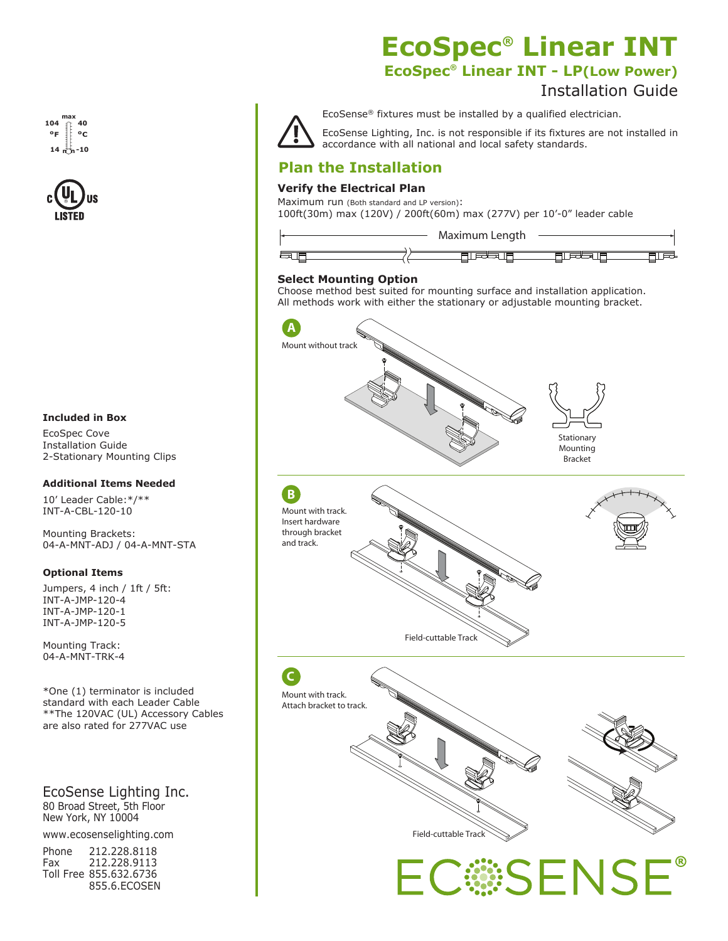#### **max min 104 14 40 -10 ºF ºC**



#### **Included in Box**

EcoSpec Cove Installation Guide 2-Stationary Mounting Clips

#### **Additional Items Needed**

10' Leader Cable:\*/\*\* INT-A-CBL-120-10

Mounting Brackets: 04-A-MNT-ADJ / 04-A-MNT-STA

#### **Optional Items**

Jumpers, 4 inch / 1ft / 5ft: INT-A-JMP-120-4 INT-A-JMP-120-1 INT-A-JMP-120-5

Mounting Track: 04-A-MNT-TRK-4

\*One (1) terminator is included standard with each Leader Cable \*\*The 120VAC (UL) Accessory Cables are also rated for 277VAC use

EcoSense Lighting Inc. 80 Broad Street, 5th Floor New York, NY 10004

www.ecosenselighting.com

| Phone | 212.228.8118           |
|-------|------------------------|
| Fax   | 212.228.9113           |
|       | Toll Free 855.632.6736 |
|       | 855.6.ECOSEN           |

## **EcoSpec® Linear INT EcoSpec® Linear INT - LP(Low Power)**

## Installation Guide



**C**

EcoSense® fixtures must be installed by a qualified electrician.

EcoSense Lighting, Inc. is not responsible if its fixtures are not installed in accordance with all national and local safety standards.

## **Plan the Installation**

### **Verify the Electrical Plan**

Maximum run (Both standard and LP version): 100ft(30m) max (120V) / 200ft(60m) max (277V) per 10'-0" leader cable



#### **Select Mounting Option**

Choose method best suited for mounting surface and installation application. All methods work with either the stationary or adjustable mounting bracket.







C:SENSE®